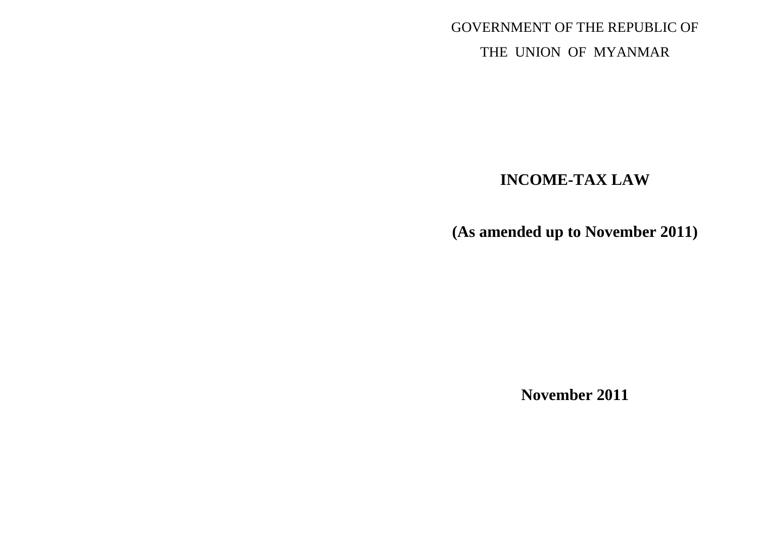GOVERNMENT OF THE REPUBLIC OF THE UNION OF MYANMAR

# **INCOME-TAX LAW**

**(As amended up to November 2011)**

**November 2011**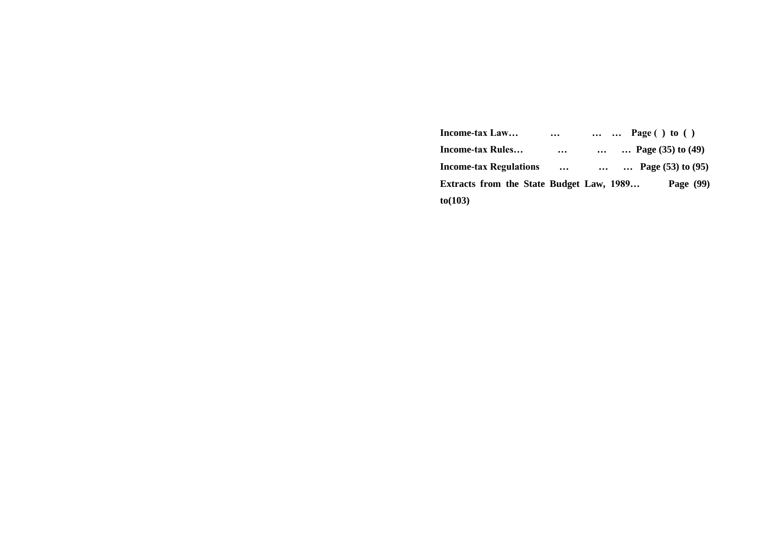| Income-tax Law                           | $\cdots$  |  | $\ldots$ $\ldots$ Page () to () |
|------------------------------------------|-----------|--|---------------------------------|
| Income-tax Rules                         | $\ddotsc$ |  | Page $(35)$ to $(49)$           |
| <b>Income-tax Regulations</b>            | $\cdots$  |  | Page $(53)$ to $(95)$           |
| Extracts from the State Budget Law, 1989 |           |  | Page $(99)$                     |
| to(103)                                  |           |  |                                 |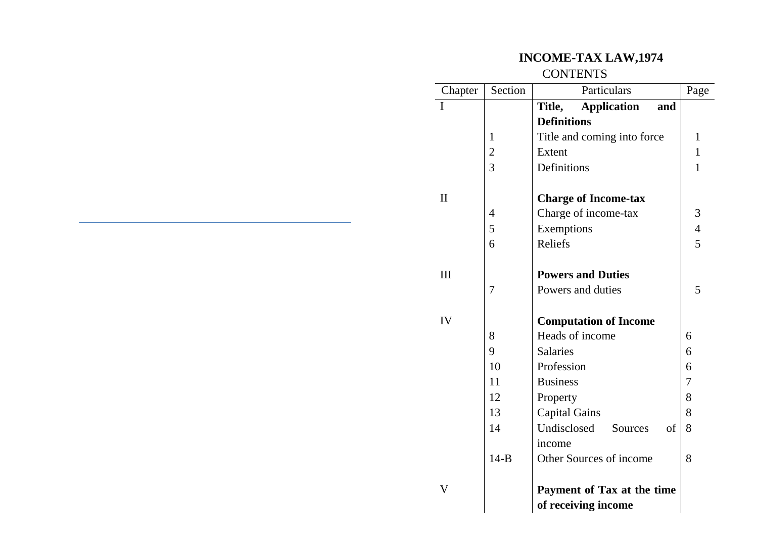# **INCOME-TAX LAW,1974**

## **CONTENTS**

| Chapter      | Section        | Particulars                         | Page           |
|--------------|----------------|-------------------------------------|----------------|
| I            |                | <b>Application</b><br>Title,<br>and |                |
|              |                | <b>Definitions</b>                  |                |
|              | 1              | Title and coming into force         | 1              |
|              | $\overline{2}$ | Extent                              | $\mathbf{1}$   |
|              | $\overline{3}$ | Definitions                         | $\mathbf{1}$   |
|              |                |                                     |                |
| $\mathbf{I}$ |                | <b>Charge of Income-tax</b>         |                |
|              | 4              | Charge of income-tax                | 3              |
|              | 5              | Exemptions                          | $\overline{4}$ |
|              | 6              | Reliefs                             | 5              |
|              |                |                                     |                |
| Ш            |                | <b>Powers and Duties</b>            |                |
|              | 7              | Powers and duties                   | 5              |
|              |                |                                     |                |
| IV           |                | <b>Computation of Income</b>        |                |
|              | 8              | Heads of income                     | 6              |
|              | 9              | <b>Salaries</b>                     | 6              |
|              | 10             | Profession                          | 6              |
|              | 11             | <b>Business</b>                     | 7              |
|              | 12             | Property                            | 8              |
|              | 13             | <b>Capital Gains</b>                | 8              |
|              | 14             | Undisclosed<br>Sources<br>of        | 8              |
|              |                | income                              |                |
|              | $14-B$         | Other Sources of income             | 8              |
|              |                |                                     |                |
| V            |                | Payment of Tax at the time          |                |
|              |                | of receiving income                 |                |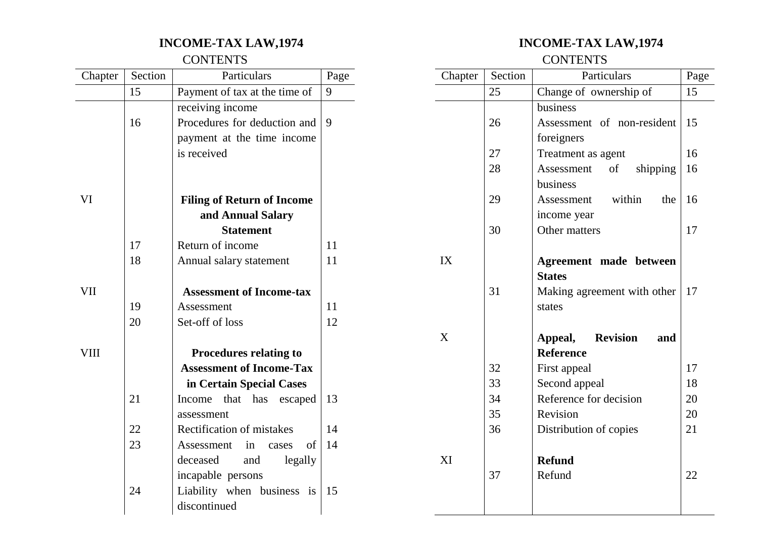# **INCOME-TAX LAW,1974**

### **CONTENTS**

| Chapter | Section | Particulars                       | Page |
|---------|---------|-----------------------------------|------|
|         | 15      | Payment of tax at the time of     | 9    |
|         |         | receiving income                  |      |
|         | 16      | Procedures for deduction and      | 9    |
|         |         | payment at the time income        |      |
|         |         | is received                       |      |
|         |         |                                   |      |
|         |         |                                   |      |
| VI      |         | <b>Filing of Return of Income</b> |      |
|         |         | and Annual Salary                 |      |
|         |         | <b>Statement</b>                  |      |
|         | 17      | Return of income                  | 11   |
|         | 18      | Annual salary statement           | 11   |
|         |         |                                   |      |
| VII     |         | <b>Assessment of Income-tax</b>   |      |
|         | 19      | Assessment                        | 11   |
|         | 20      | Set-off of loss                   | 12   |
|         |         |                                   |      |
| VIII    |         | <b>Procedures relating to</b>     |      |
|         |         | <b>Assessment of Income-Tax</b>   |      |
|         |         | in Certain Special Cases          |      |
|         | 21      | Income<br>that<br>has<br>escaped  | 13   |
|         |         | assessment                        |      |
|         | 22      | Rectification of mistakes         | 14   |
|         | 23      | οf<br>Assessment<br>in<br>cases   | 14   |
|         |         | legally<br>deceased<br>and        |      |
|         |         | incapable persons                 |      |
|         | 24      | Liability when business is        | 15   |
|         |         | discontinued                      |      |

# **INCOME-TAX LAW,1974**

**CONTENTS** 

| Chapter | Section | Particulars                       | Page |
|---------|---------|-----------------------------------|------|
|         | 25      | Change of ownership of            | 15   |
|         |         | business                          |      |
|         | 26      | Assessment of non-resident        | 15   |
|         |         | foreigners                        |      |
|         | 27      | Treatment as agent                | 16   |
|         | 28      | Assessment<br>of<br>shipping      | 16   |
|         |         | business                          |      |
|         | 29      | Assessment within<br>the          | 16   |
|         |         | income year                       |      |
|         | 30      | Other matters                     | 17   |
|         |         |                                   |      |
| IX      |         | Agreement made between            |      |
|         |         | <b>States</b>                     |      |
|         | 31      | Making agreement with other       | 17   |
|         |         | states                            |      |
|         |         |                                   |      |
| X       |         | <b>Revision</b><br>Appeal,<br>and |      |
|         |         | <b>Reference</b>                  |      |
|         | 32      | First appeal                      | 17   |
|         | 33      | Second appeal                     | 18   |
|         | 34      | Reference for decision            | 20   |
|         | 35      | Revision                          | 20   |
|         | 36      | Distribution of copies            | 21   |
|         |         |                                   |      |
| XI      |         | <b>Refund</b>                     |      |
|         | 37      | Refund                            | 22   |
|         |         |                                   |      |
|         |         |                                   |      |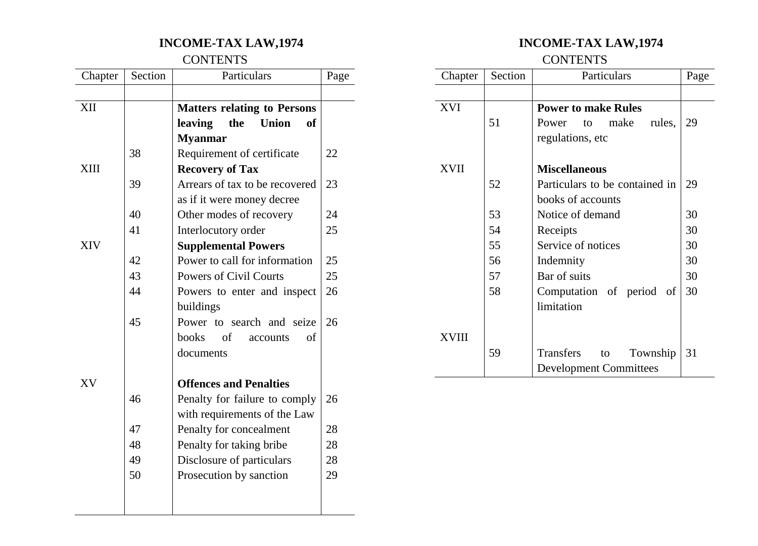# **INCOME-TAX LAW,1974**

### **CONTENTS**

| Chapter     | Section | Particulars                                 | Page |
|-------------|---------|---------------------------------------------|------|
|             |         |                                             |      |
| XII         |         | <b>Matters relating to Persons</b>          |      |
|             |         | leaving<br>the<br><b>Union</b><br><b>of</b> |      |
|             |         | <b>Myanmar</b>                              |      |
|             | 38      | Requirement of certificate                  | 22   |
| <b>XIII</b> |         | <b>Recovery of Tax</b>                      |      |
|             | 39      | Arrears of tax to be recovered              | 23   |
|             |         | as if it were money decree                  |      |
|             | 40      | Other modes of recovery                     | 24   |
|             | 41      | Interlocutory order                         | 25   |
| XIV         |         | <b>Supplemental Powers</b>                  |      |
|             | 42      | Power to call for information               | 25   |
|             | 43      | <b>Powers of Civil Courts</b>               | 25   |
|             | 44      | Powers to enter and inspect                 | 26   |
|             |         | buildings                                   |      |
|             | 45      | Power to search and seize                   | 26   |
|             |         | <b>books</b><br>of<br>of<br>accounts        |      |
|             |         | documents                                   |      |
|             |         |                                             |      |
| XV          |         | <b>Offences and Penalties</b>               |      |
|             | 46      | Penalty for failure to comply               | 26   |
|             |         | with requirements of the Law                |      |
|             | 47      | Penalty for concealment                     | 28   |
|             | 48      | Penalty for taking bribe                    | 28   |
|             | 49      | Disclosure of particulars                   | 28   |
|             | 50      | Prosecution by sanction                     | 29   |
|             |         |                                             |      |
|             |         |                                             |      |

# **INCOME-TAX LAW,1974**

**CONTENTS** 

| Chapter | Section | Particulars                    | Page |
|---------|---------|--------------------------------|------|
|         |         |                                |      |
| XVI     |         | <b>Power to make Rules</b>     |      |
|         | 51      | make<br>Power<br>rules,<br>to  | 29   |
|         |         | regulations, etc               |      |
| XVII    |         | <b>Miscellaneous</b>           |      |
|         | 52      | Particulars to be contained in | 29   |
|         |         | books of accounts              |      |
|         | 53      | Notice of demand               | 30   |
|         | 54      | Receipts                       | 30   |
|         | 55      | Service of notices             | 30   |
|         | 56      | Indemnity                      | 30   |
|         | 57      | Bar of suits                   | 30   |
|         | 58      | Computation of period<br>of    | 30   |
|         |         | limitation                     |      |
|         |         |                                |      |
| XVIII   |         |                                |      |
|         | 59      | Transfers<br>Township<br>to    | 31   |
|         |         | <b>Development Committees</b>  |      |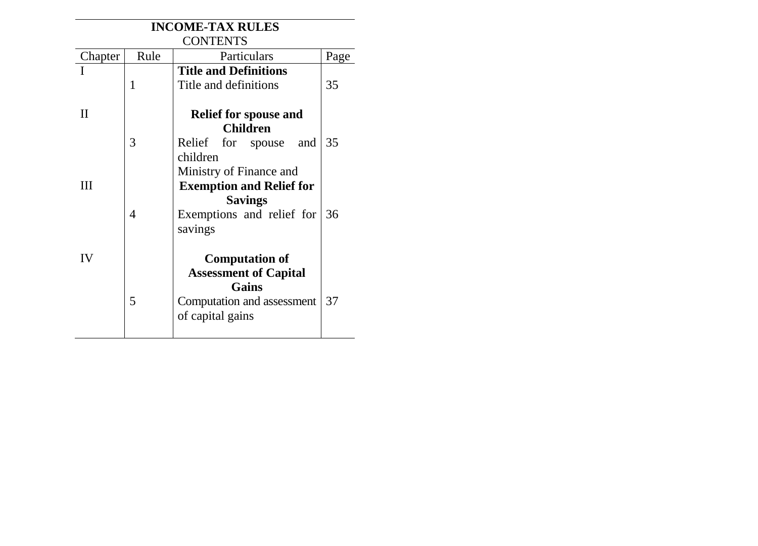| <b>INCOME-TAX RULES</b> |      |                                                 |      |
|-------------------------|------|-------------------------------------------------|------|
| <b>CONTENTS</b>         |      |                                                 |      |
| Chapter                 | Rule | Particulars                                     | Page |
|                         |      | <b>Title and Definitions</b>                    |      |
|                         | 1    | Title and definitions                           | 35   |
| Н                       |      |                                                 |      |
|                         |      | <b>Relief for spouse and</b><br><b>Children</b> |      |
|                         | 3    |                                                 |      |
|                         |      | Relief for spouse<br>and                        | 35   |
|                         |      | children                                        |      |
|                         |      | Ministry of Finance and                         |      |
| Ш                       |      | <b>Exemption and Relief for</b>                 |      |
|                         |      | <b>Savings</b>                                  |      |
|                         | 4    | Exemptions and relief for                       | 36   |
|                         |      | savings                                         |      |
|                         |      |                                                 |      |
| IV                      |      | <b>Computation of</b>                           |      |
|                         |      | <b>Assessment of Capital</b>                    |      |
|                         |      | Gains                                           |      |
|                         | 5    | Computation and assessment                      | 37   |
|                         |      | of capital gains                                |      |
|                         |      |                                                 |      |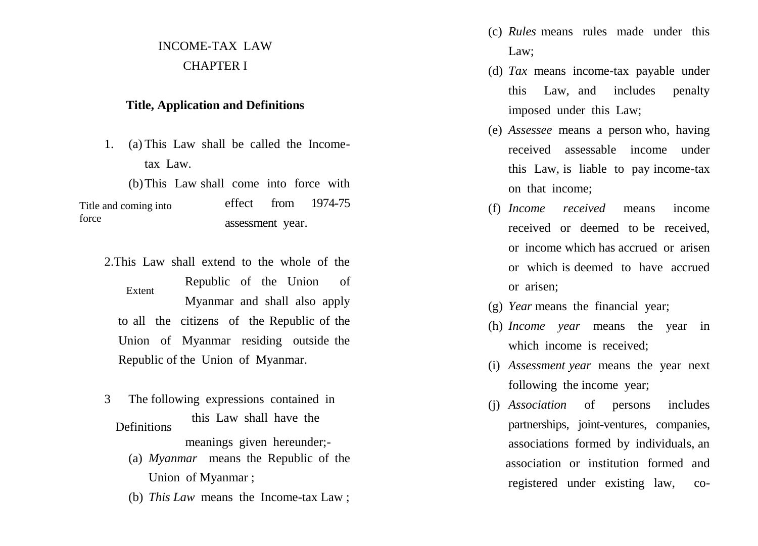# INCOME -TAX LAW CHAPTER I

### **Title, Application and Definitions**

- 1. (a) This Law shall be called the Income tax Law.
	- (b)This Law shall come into force with

effect from 1974-75 assessment year. Title and coming into force

- 2.This Law shall extend to the whole of the Republic of the Union of Myanmar and shall also apply to all the citizens of the Republic of the Union of Myanmar residing outside the Republic of the Union of Myanmar. Extent
- 3 The following expressions contained in meanings given hereunder; - **Definitions** this Law shall have th e
	- (a) *Myanmar* means the Republic of the Union of Myanmar ;
	- (b) *This Law* means the Income -tax Law ;
- (c) *Rules* means rules made under this Law;
- (d) *Tax* means income -tax payable under this Law, and includes penalty imposed under this Law;
- (e) *Assessee* means a person who, having received assessable income under this Law, is liable to pay income -tax on that income;
- (f) *Income received* means income received or deemed to be received, or income which has accrued or arisen or which is deemed to have accrued or arisen;
- (g) *Year* means the financial year;
- (h) *Income year* means the year in which income is received;
- (i) *Assessment year* means the year next following the income year;
- (j) *Association* of persons includes partnerships, joint -ventures, companies, associations formed by individuals, an association or institution formed and registered under existing law,  $CO<sub>-</sub>$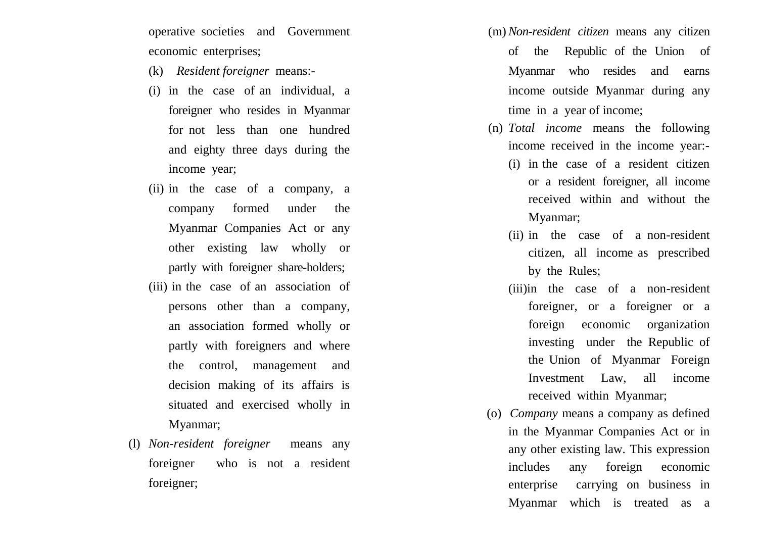operative societies and Government economic enterprises;

- (k) *Resident foreigner* means: -
- (i) in the case of an individual, a foreigner who resides in Myanmar for not less than one hundred and eighty three days during the income year;
- (ii) in the case of a company, a company formed under the Myanmar Companies Act or any other existing law wholly or partly with foreigner share -holders;
- (iii) in the case of an association of persons other than a company, an association formed wholly or partly with foreigners and where the control, management and decision making of its affairs is situated and exercised wholly in Myanmar;
- (l) *Non -resident foreigner* means any foreigner who is not a resident foreigner;
- (m) *Non -resident citizen* means any citizen of the Republic of the Union of Myanmar who resides and earns income outside Myanmar during any time in a year of income;
- (n) *Total income* means the following income received in the income year: -
	- (i) in the case of a resident citizen or a resident foreigner, all income received within and without the Myanmar;
	- (ii) in the case of a non -resident citizen, all income as prescribed by the Rules;
	- (iii)in the case of a non -resident foreigner, or a foreigner or a foreign economic organization investing under the Republic of the Union of Myanmar Foreign Investment Law, all income received within Myanmar;
- (o) *Company* means a company as defined in the Myanmar Companies Act or in any other existing law. This expression includes any foreign economic enterprise carrying on business in Myanmar which is treated as a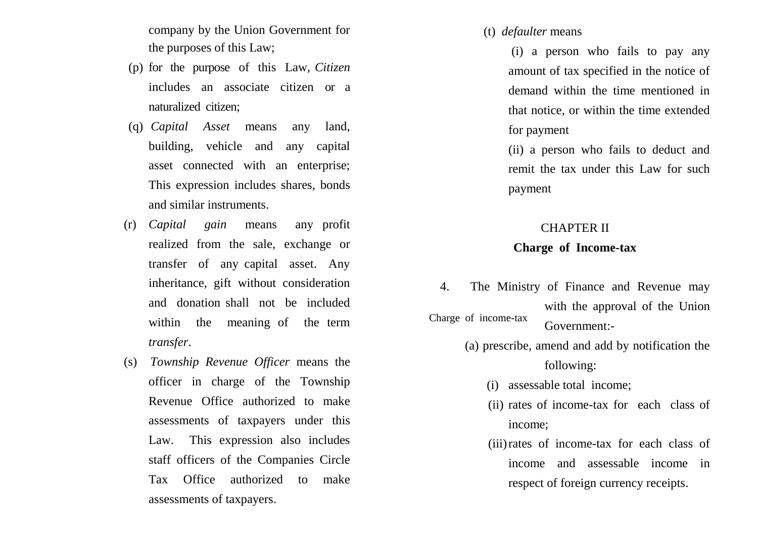company by the Union Government for the purposes of this Law;

- (p) for the purpose of this Law, *Citizen* includes an associate citizen or a naturalized citizen;
- (q) *Capital Asset* means any land, building, vehicle and any capital asset connected with an enterprise; This expression includes shares, bonds and similar instruments.
- (r) *Capital gain* means any profit realized from the sale, exchange or transfer of any capital asset. Any inheritance, gift without consideration and donation shall not be included within the meaning of the term *transfer*.
- (s) *Township Revenue Officer* means the officer in charge of the Township Revenue Office authorized to make assessments of taxpayers under this Law. This expression also includes staff officers of the Companies Circle Tax Office authorized to make assessments of taxpayers.

(t) *defaulter* means

(i) a person who fails to pay any amount of tax specified in the notice of demand within the time mentioned in that notice, or within the time extended for payment

(ii) a person who fails to deduct and remit the tax under this Law for such payment

#### CHAPTER II

### **Charge of Income-tax**

- 4. The Ministry of Finance and Revenue may with the approval of the Union Government:- Charge of income-tax
	- (a) prescribe, amend and add by notification the following:
		- (i) assessable total income;
		- (ii) rates of income-tax for each class of income;
		- (iii)rates of income-tax for each class of income and assessable income in respect of foreign currency receipts.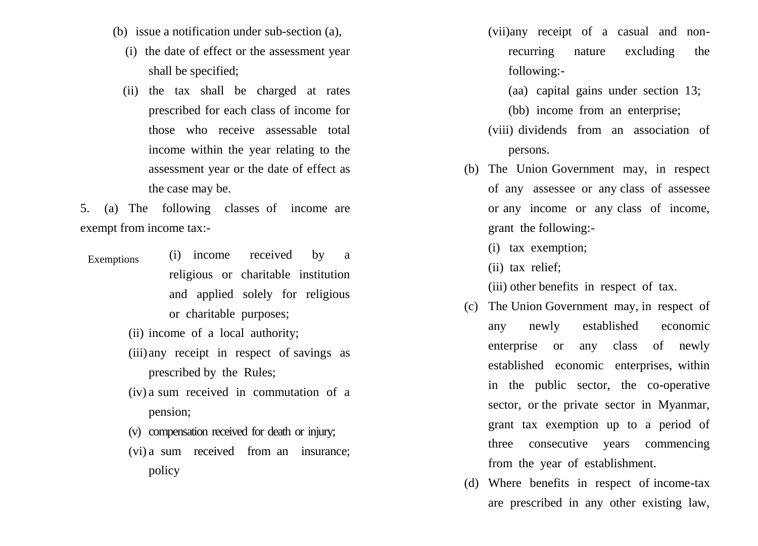- (b) issue a notification under sub-section (a),
	- (i) the date of effect or the assessment year shall be specified;
	- (ii) the tax shall be charged at rates prescribed for each class of income for those who receive assessable total income within the year relating to the assessment year or the date of effect as the case may be.

5. (a) The following classes of income are exempt from income tax:-

- (i) income received by a religious or charitable institution and applied solely for religious or charitable purposes; Exemptions
	- (ii) income of a local authority;
	- (iii)any receipt in respect of savings as prescribed by the Rules;
	- (iv) a sum received in commutation of a pension;
	- (v) compensation received for death or injury;
	- (vi) a sum received from an insurance; policy

(vii)any receipt of a casual and nonrecurring nature excluding the following:-

(aa) capital gains under section 13;

(bb) income from an enterprise;

- (viii) dividends from an association of persons.
- (b) The Union Government may, in respect of any assessee or any class of assessee or any income or any class of income, grant the following:-
	- (i) tax exemption;
	- (ii) tax relief;

(iii) other benefits in respect of tax.

- (c) The Union Government may, in respect of any newly established economic enterprise or any class of newly established economic enterprises, within in the public sector, the co-operative sector, or the private sector in Myanmar, grant tax exemption up to a period of three consecutive years commencing from the year of establishment.
- (d) Where benefits in respect of income-tax are prescribed in any other existing law,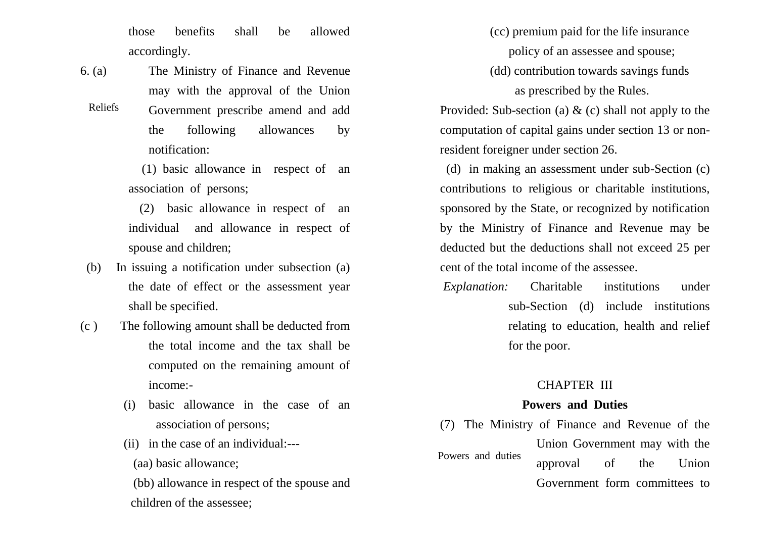those benefits shall be allowed accordingly.

- 6. (a) The Ministry of Finance and Revenue may with the approval of the Union
- Government prescribe amend and add the following allowances by notification: Reliefs

 (1) basic allowance in respect of an association of persons;

- (2) basic allowance in respect of an individual and allowance in respect of spouse and children;
- (b) In issuing a notification under subsection (a) the date of effect or the assessment year shall be specified.
- (c ) The following amount shall be deducted from the total income and the tax shall be computed on the remaining amount of income:-
	- (i) basic allowance in the case of an association of persons;
	- (ii) in the case of an individual:---
		- (aa) basic allowance;
	- (bb) allowance in respect of the spouse and children of the assessee;

 (cc) premium paid for the life insurance policy of an assessee and spouse;

(dd) contribution towards savings funds

as prescribed by the Rules.

Provided: Sub-section (a)  $\&$  (c) shall not apply to the computation of capital gains under section 13 or nonresident foreigner under section 26.

 (d) in making an assessment under sub-Section (c) contributions to religious or charitable institutions, sponsored by the State, or recognized by notification by the Ministry of Finance and Revenue may be deducted but the deductions shall not exceed 25 per cent of the total income of the assessee.

*Explanation:* Charitable institutions under sub-Section (d) include institutions relating to education, health and relief for the poor.

### CHAPTER III

### **Powers and Duties**

(7) The Ministry of Finance and Revenue of the Union Government may with the approval of the Union Government form committees to Powers and duties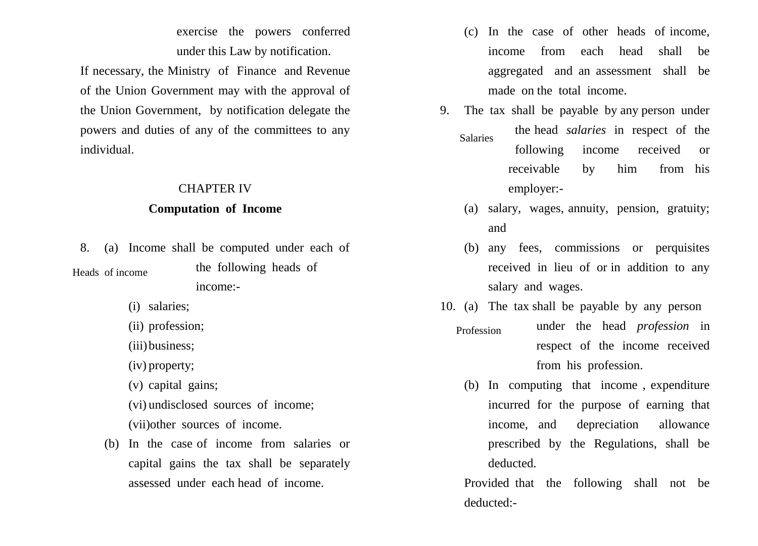exercise the powers conferred under this Law by notification.

If necessary, the Ministry of Finance and Revenue of the Union Government may with the approval of the Union Government, by notification delegate the powers and duties of any of the committees to any individual.

### CHAPTER IV

### **Computation of Income**

8. (a) Income shall be computed under each of the following heads of income:- Heads of income

- (i) salaries;
- (ii) profession;
- (iii) business:

(iv) property;

(v) capital gains;

(vi) undisclosed sources of income; (vii)other sources of income.

(b) In the case of income from salaries or capital gains the tax shall be separately assessed under each head of income.

- (c) In the case of other heads of income, income from each head shall be aggregated and an assessment shall be made on the total income.
- 9. The tax shall be payable by any person under the head *salaries* in respect of the following income received or receivable by him from his employer:- Salaries
	- (a) salary, wages, annuity, pension, gratuity; and
	- (b) any fees, commissions or perquisites received in lieu of or in addition to any salary and wages.
- 10. (a) The tax shall be payable by any person under the head *profession* in respect of the income received from his profession. Profession
	- (b) In computing that income , expenditure incurred for the purpose of earning that income, and depreciation allowance prescribed by the Regulations, shall be deducted.

Provided that the following shall not be deducted:-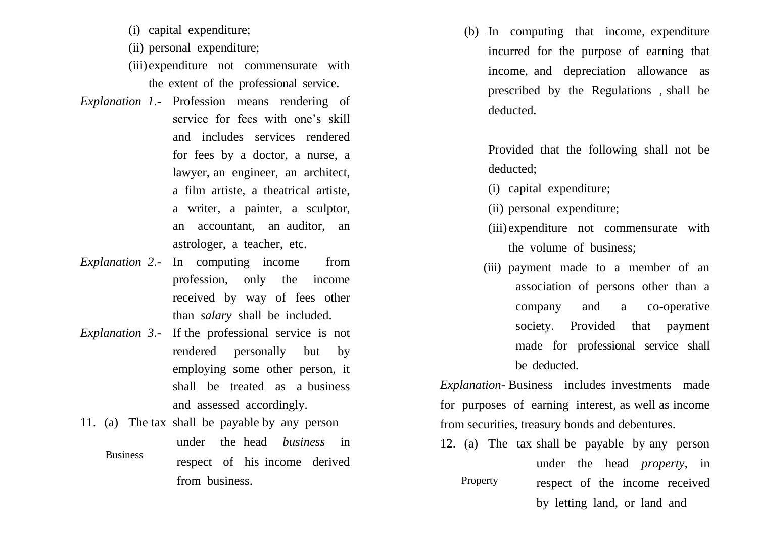- (i) capital expenditure;
- (ii) personal expenditure;
- (iii)expenditure not commensurate with the extent of the professional service.
- *Explanation 1*.- Profession means rendering of service for fees with one's skill and includes services rendered for fees by a doctor, a nurse, a lawyer, an engineer, an architect, a film artiste, a theatrical artiste, a writer, a painter, a sculptor, an accountant, an auditor, an astrologer, a teacher, etc.
- *Explanation 2*.- In computing income from profession, only the income received by way of fees other than *salary* shall be included.
- *Explanation 3*.- If the professional service is not rendered personally but by employing some other person, it shall be treated as a business and assessed accordingly.
- 11. (a) The tax shall be payable by any person under the head *business* in respect of his income derived from business. Business

(b) In computing that income, expenditure incurred for the purpose of earning that income, and depreciation allowance as prescribed by the Regulations , shall be deducted.

Provided that the following shall not be deducted;

- (i) capital expenditure;
- (ii) personal expenditure;
- (iii)expenditure not commensurate with the volume of business;
- (iii) payment made to a member of an association of persons other than a company and a co-operative society. Provided that payment made for professional service shall be deducted.

*Explanation-* Business includes investments made for purposes of earning interest, as well as income from securities, treasury bonds and debentures.

12. (a) The tax shall be payable by any person under the head *property*, in respect of the income received by letting land, or land and Property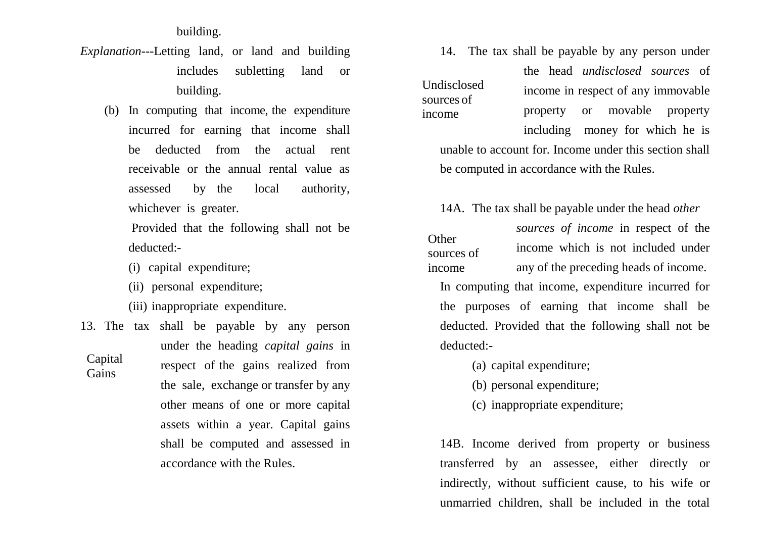building.

- *Explanation*---Letting land, or land and building includes subletting land or building.
	- (b) In computing that income, the expenditure incurred for earning that income shall be deducted from the actual rent receivable or the annual rental value as assessed by the local authority, whichever is greater.

Provided that the following shall not be deducted:-

- (i) capital expenditure;
- (ii) personal expenditure;
- (iii) inappropriate expenditure.
- 13. The tax shall be payable by any person under the heading *capital gains* in respect of the gains realized from the sale, exchange or transfer by any other means of one or more capital assets within a year. Capital gains shall be computed and assessed in accordance with the Rules. Capital **Gains**

14. The tax shall be payable by any person under

Undisclosed sources of income

the head *undisclosed sources* of income in respect of any immovable property or movable property including money for which he is

unable to account for. Income under this section shall be computed in accordance with the Rules.

14A. The tax shall be payable under the head *other* 

*sources of income* in respect of the income which is not included under any of the preceding heads of income. In computing that income, expenditure incurred for the purposes of earning that income shall be deducted. Provided that the following shall not be deducted:- **Other** sources of income

- (a) capital expenditure;
- (b) personal expenditure;
- (c) inappropriate expenditure;

14B. Income derived from property or business transferred by an assessee, either directly or indirectly, without sufficient cause, to his wife or unmarried children, shall be included in the total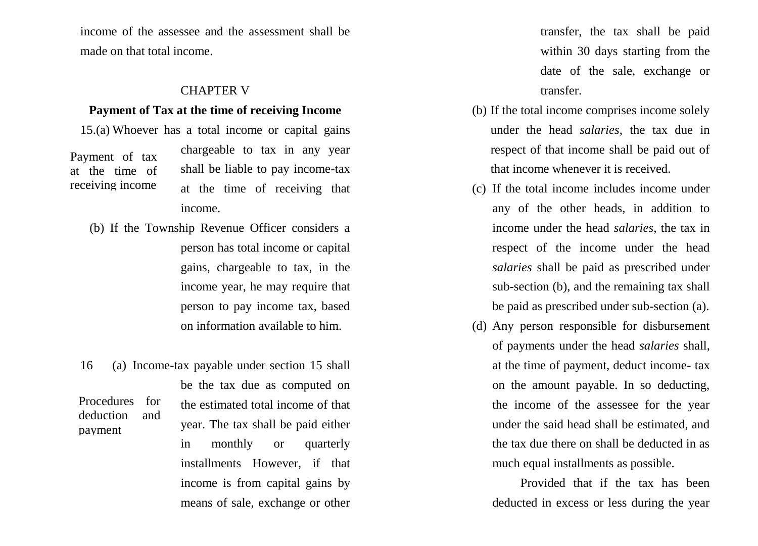income of the assessee and the assessment shall be made on that total income.

### CHAPTER V

#### **Payment of Tax at the time of receiving Income**

15.(a) Whoever has a total income or capital gains

Payment of tax at the time of receiving income chargeable to tax in any year shall be liable to pay income-tax at the time of receiving that income.

- (b) If the Township Revenue Officer considers a person has total income or capital gains, chargeable to tax, in the income year, he may require that person to pay income tax, based on information available to him.
- 16 (a) Income-tax payable under section 15 shall be the tax due as computed on the estimated total income of that year. The tax shall be paid either in monthly or quarterly installments However, if that income is from capital gains by Procedures for deduction and payment

means of sale, exchange or other

transfer, the tax shall be paid within 30 days starting from the date of the sale, exchange or transfer.

- (b) If the total income comprises income solely under the head *salaries*, the tax due in respect of that income shall be paid out of that income whenever it is received.
- (c) If the total income includes income under any of the other heads, in addition to income under the head *salaries*, the tax in respect of the income under the head *salaries* shall be paid as prescribed under sub-section (b), and the remaining tax shall be paid as prescribed under sub-section (a).
- (d) Any person responsible for disbursement of payments under the head *salaries* shall, at the time of payment, deduct income- tax on the amount payable. In so deducting, the income of the assessee for the year under the said head shall be estimated, and the tax due there on shall be deducted in as much equal installments as possible.

Provided that if the tax has been deducted in excess or less during the year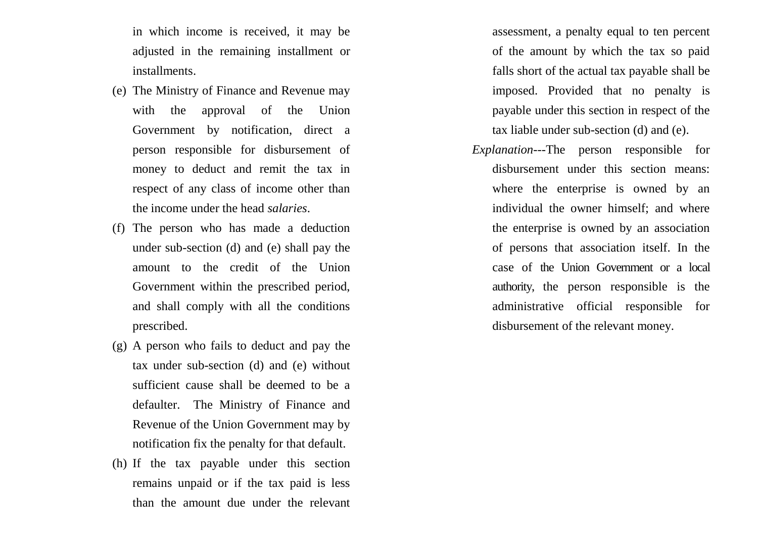in which income is received, it may be adjusted in the remaining installment or installments.

- (e) The Ministry of Finance and Revenue may with the approval of the Union Government by notification, direct a person responsible for disbursement of money to deduct and remit the tax in respect of any class of income other than the income under the head *salaries*.
- (f) The person who has made a deduction under sub-section (d) and (e) shall pay the amount to the credit of the Union Government within the prescribed period, and shall comply with all the conditions prescribed.
- (g) A person who fails to deduct and pay the tax under sub-section (d) and (e) without sufficient cause shall be deemed to be a defaulter. The Ministry of Finance and Revenue of the Union Government may by notification fix the penalty for that default.
- (h) If the tax payable under this section remains unpaid or if the tax paid is less than the amount due under the relevant

assessment, a penalty equal to ten percent of the amount by which the tax so paid falls short of the actual tax payable shall be imposed. Provided that no penalty is payable under this section in respect of the tax liable under sub-section (d) and (e).

*Explanation*---The person responsible for disbursement under this section means: where the enterprise is owned by an individual the owner himself; and where the enterprise is owned by an association of persons that association itself. In the case of the Union Government or a local authority, the person responsible is the administrative official responsible for disbursement of the relevant money.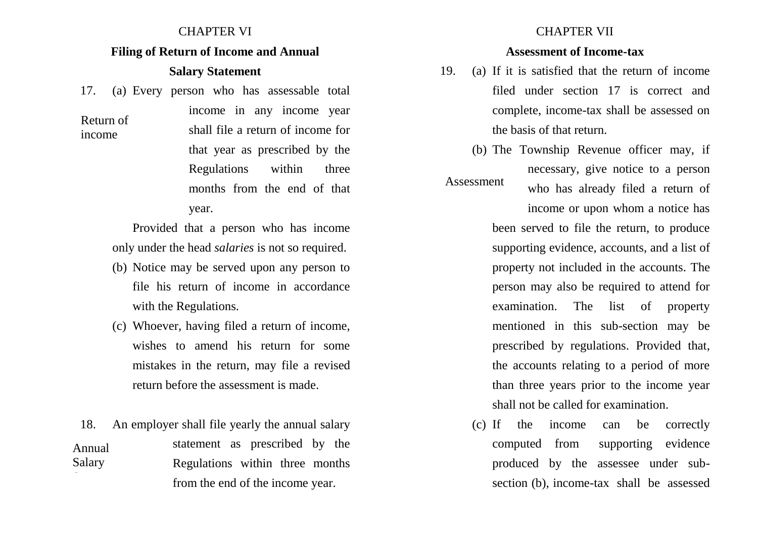### CHAPTER VI

### **Filing of Return of Income and Annual**

### **Salary Statement**

17. (a) Every person who has assessable total

Return of income

income in any income year shall file a return of income for that year as prescribed by the Regulations within three months from the end of that year.

Provided that a person who has income only under the head *salaries* is not so required.

- (b) Notice may be served upon any person to file his return of income in accordance with the Regulations.
- (c) Whoever, having filed a return of income, wishes to amend his return for some mistakes in the return, may file a revised return before the assessment is made.

18. An employer shall file yearly the annual salary statement as prescribed by the Regulations within three months from the end of the income year. Annual Salary Statement

### CHAPTER VII

### **Assessment of Income-tax**

- 19. (a) If it is satisfied that the return of income filed under section 17 is correct and complete, income-tax shall be assessed on the basis of that return.
- (b) The Township Revenue officer may, if necessary, give notice to a person who has already filed a return of Assessment

income or upon whom a notice has been served to file the return, to produce supporting evidence, accounts, and a list of property not included in the accounts. The person may also be required to attend for examination. The list of property mentioned in this sub-section may be prescribed by regulations. Provided that, the accounts relating to a period of more than three years prior to the income year shall not be called for examination.

(c) If the income can be correctly computed from supporting evidence produced by the assessee under subsection (b), income-tax shall be assessed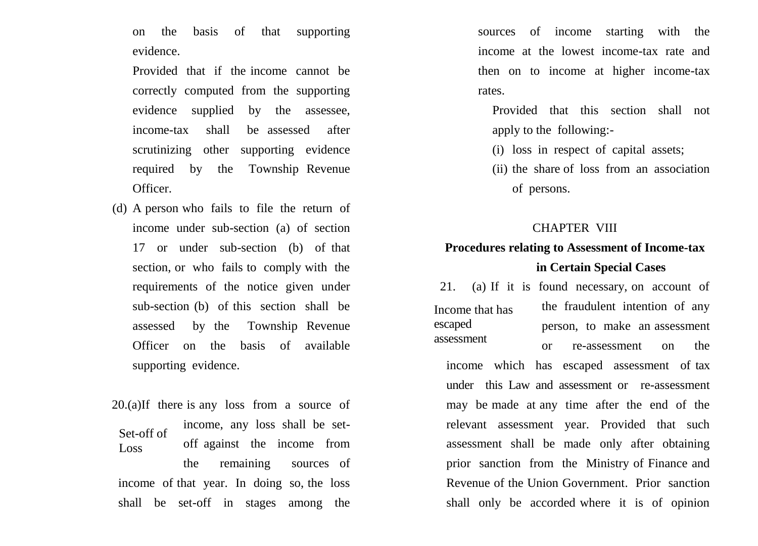on the basis of that supporting evidence.

Provided that if the income cannot be correctly computed from the supporting evidence supplied by the assessee, income-tax shall be assessed after scrutinizing other supporting evidence required by the Township Revenue Officer.

(d) A person who fails to file the return of income under sub-section (a) of section 17 or under sub-section (b) of that section, or who fails to comply with the requirements of the notice given under sub-section (b) of this section shall be assessed by the Township Revenue Officer on the basis of available supporting evidence.

20.(a)If there is any loss from a source of income, any loss shall be setoff against the income from the remaining sources of income of that year. In doing so, the loss shall be set-off in stages among the Set-off of Loss

sources of income starting with the income at the lowest income-tax rate and then on to income at higher income-tax rates.

Provided that this section shall not apply to the following:-

(i) loss in respect of capital assets;

(ii) the share of loss from an association of persons.

### CHAPTER VIII

### **Procedures relating to Assessment of Income-tax in Certain Special Cases**

Income that has escaped assessment

21. (a) If it is found necessary, on account of the fraudulent intention of any person, to make an assessment or re-assessment on the

income which has escaped assessment of tax under this Law and assessment or re-assessment may be made at any time after the end of the relevant assessment year. Provided that such assessment shall be made only after obtaining prior sanction from the Ministry of Finance and Revenue of the Union Government. Prior sanction shall only be accorded where it is of opinion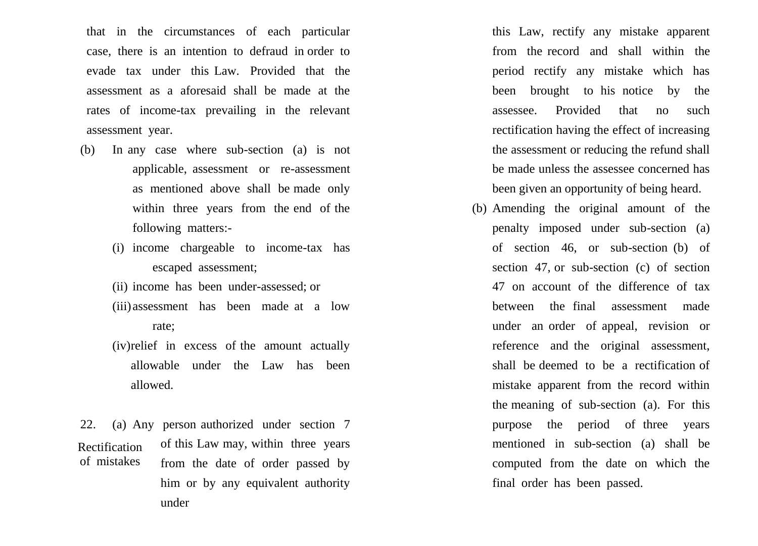that in the circumstances of each particular case, there is an intention to defraud in order to evade tax under this Law. Provided that the assessment as a aforesaid shall be made at the rates of income-tax prevailing in the relevant assessment year.

- (b) In any case where sub-section (a) is not applicable, assessment or re-assessment as mentioned above shall be made only within three years from the end of the following matters:-
	- (i) income chargeable to income-tax has escaped assessment;
	- (ii) income has been under-assessed; or
	- (iii)assessment has been made at a low rate;
	- (iv)relief in excess of the amount actually allowable under the Law has been allowed.

22. (a) Any person authorized under section 7 of this Law may, within three years from the date of order passed by him or by any equivalent authority under Rectification of mistakes

this Law, rectify any mistake apparent from the record and shall within the period rectify any mistake which has been brought to his notice by the assessee. Provided that no such rectification having the effect of increasing the assessment or reducing the refund shall be made unless the assessee concerned has been given an opportunity of being heard.

(b) Amending the original amount of the penalty imposed under sub-section (a) of section 46, or sub-section (b) of section 47, or sub-section (c) of section 47 on account of the difference of tax between the final assessment made under an order of appeal, revision or reference and the original assessment, shall be deemed to be a rectification of mistake apparent from the record within the meaning of sub-section (a). For this purpose the period of three years mentioned in sub-section (a) shall be computed from the date on which the final order has been passed.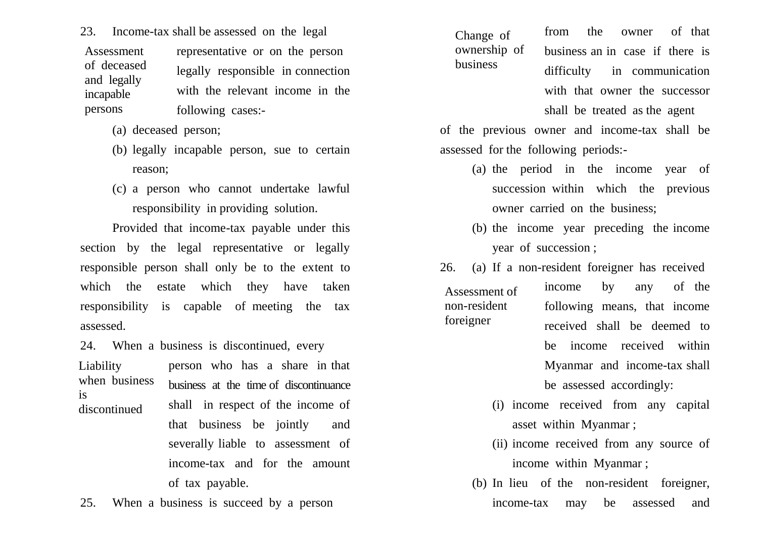23. Income-tax shall be assessed on the legal

representative or on the person legally responsible in connection with the relevant income in the following cases:- Assessment of deceased and legally incapable persons

- (a) deceased person;
- (b) legally incapable person, sue to certain reason;
- (c) a person who cannot undertake lawful responsibility in providing solution.

Provided that income-tax payable under this section by the legal representative or legally responsible person shall only be to the extent to which the estate which they have taken responsibility is capable of meeting the tax assessed.

24. When a business is discontinued, every

Liability when business is discontinued

person who has a share in that business at the time of discontinuance shall in respect of the income of that business be jointly and severally liable to assessment of income-tax and for the amount of tax payable.

25. When a business is succeed by a person

from the owner of that business an in case if there is difficulty in communication with that owner the successor shall be treated as the agent Change of ownership of business

of the previous owner and income-tax shall be assessed for the following periods:-

- (a) the period in the income year of succession within which the previous owner carried on the business;
- (b) the income year preceding the income year of succession ;
- 26. (a) If a non-resident foreigner has received

Assessment of non-resident foreigner

income by any of the following means, that income received shall be deemed to be income received within Myanmar and income-tax shall be assessed accordingly:

- (i) income received from any capital asset within Myanmar ;
- (ii) income received from any source of income within Myanmar ;
- (b) In lieu of the non-resident foreigner, income-tax may be assessed and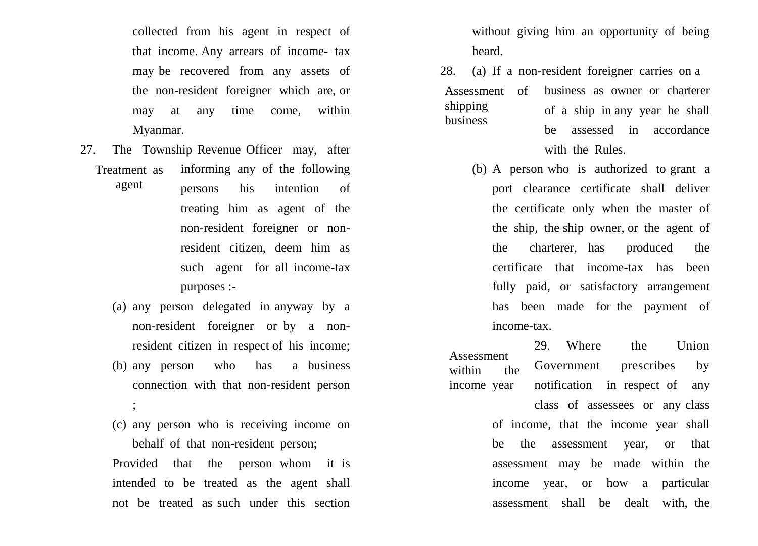collected from his agent in respect of that income. Any arrears of income- tax may be recovered from any assets of the non-resident foreigner which are, or may at any time come, within Myanmar.

- Treatment as agent 27. The Township Revenue Officer may, after informing any of the following persons his intention of treating him as agent of the
	- non-resident foreigner or nonresident citizen, deem him as such agent for all income-tax purposes :-
	- (a) any person delegated in anyway by a non-resident foreigner or by a nonresident citizen in respect of his income;
	- (b) any person who has a business connection with that non-resident person ;
	- (c) any person who is receiving income on behalf of that non-resident person;

Provided that the person whom it is intended to be treated as the agent shall not be treated as such under this section

without giving him an opportunity of being heard.

- 28. (a) If a non-resident foreigner carries on a business as owner or charterer of a ship in any year he shall be assessed in accordance with the Rules. Assessment of shipping business
	- (b) A person who is authorized to grant a port clearance certificate shall deliver the certificate only when the master of the ship, the ship owner, or the agent of the charterer, has produced the certificate that income-tax has been fully paid, or satisfactory arrangement has been made for the payment of income-tax.

29. Where the Union Government prescribes by notification in respect of any Assessment within the income year

> class of assessees or any class of income, that the income year shall be the assessment year, or that assessment may be made within the income year, or how a particular assessment shall be dealt with, the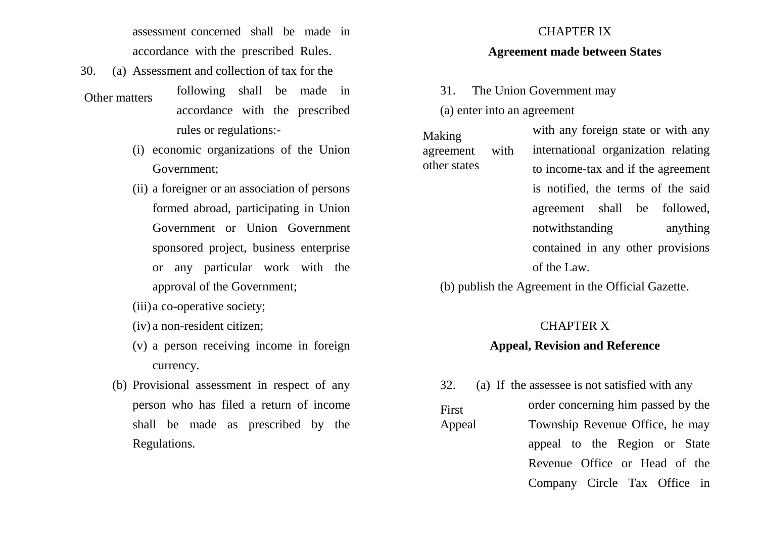assessment concerned shall be made in accordance with the prescribed Rules.

30. (a) Assessment and collection of tax for the

#### Other matters

- following shall be made in accordance with the prescribed rules or regulations:-
- (i) economic organizations of the Union Government;
- (ii) a foreigner or an association of persons formed abroad, participating in Union Government or Union Government sponsored project, business enterprise or any particular work with the approval of the Government;
- (iii)a co-operative society;
- (iv) a non-resident citizen;
- (v) a person receiving income in foreign currency.
- (b) Provisional assessment in respect of any person who has filed a return of income shall be made as prescribed by the Regulations.

### CHAPTER IX

### **Agreement made between States**

31. The Union Government may

(a) enter into an agreement

First

with any foreign state or with any international organization relating to income-tax and if the agreement is notified, the terms of the said agreement shall be followed, notwithstanding anything contained in any other provisions of the Law. Making agreement with other states

(b) publish the Agreement in the Official Gazette.

### CHAPTER X

### **Appeal, Revision and Reference**

32. (a) If the assessee is not satisfied with any order concerning him passed by the Township Revenue Office, he may appeal to the Region or State Revenue Office or Head of the Company Circle Tax Office in Appeal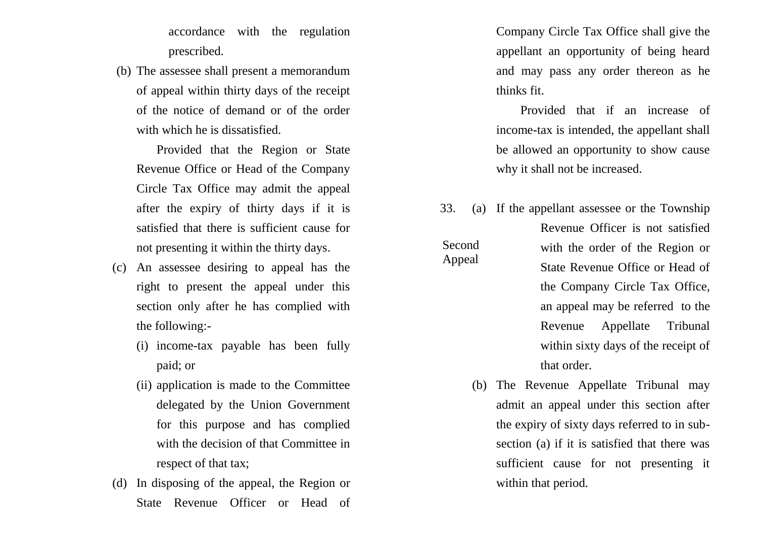accordance with the regulation prescribed.

(b) The assessee shall present a memorandum of appeal within thirty days of the receipt of the notice of demand or of the order with which he is dissatisfied.

Provided that the Region or State Revenue Office or Head of the Company Circle Tax Office may admit the appeal after the expiry of thirty days if it is satisfied that there is sufficient cause for not presenting it within the thirty days.

- (c) An assessee desiring to appeal has the right to present the appeal under this section only after he has complied with the following:-
	- (i) income-tax payable has been fully paid; or
	- (ii) application is made to the Committee delegated by the Union Government for this purpose and has complied with the decision of that Committee in respect of that tax;
- (d) In disposing of the appeal, the Region or State Revenue Officer or Head of

Company Circle Tax Office shall give the appellant an opportunity of being heard and may pass any order thereon as he thinks fit.

Provided that if an increase of income-tax is intended, the appellant shall be allowed an opportunity to show cause why it shall not be increased.

33. (a) If the appellant assessee or the Township Revenue Officer is not satisfied with the order of the Region or State Revenue Office or Head of the Company Circle Tax Office, an appeal may be referred to the Revenue Appellate Tribunal within sixty days of the receipt of that order.

Second Appeal

> (b) The Revenue Appellate Tribunal may admit an appeal under this section after the expiry of sixty days referred to in subsection (a) if it is satisfied that there was sufficient cause for not presenting it within that period.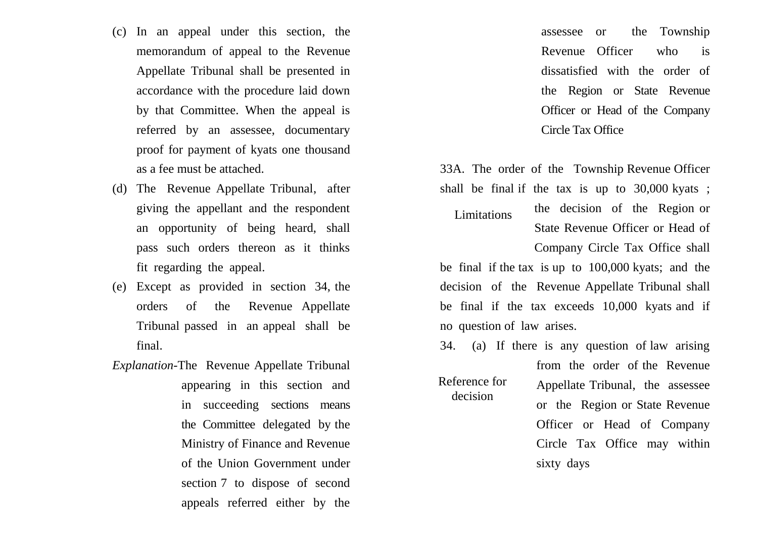- (c) In an appeal under this section, the memorandum of appeal to the Revenue Appellate Tribunal shall be presented in accordance with the procedure laid down by that Committee. When the appeal is referred by an assessee, documentary proof for payment of kyats one thousand as a fee must be attached.
- (d) The Revenue Appellate Tribunal, after giving the appellant and the respondent an opportunity of being heard, shall pass such orders thereon as it thinks fit regarding the appeal.
- (e) Except as provided in section 34, the orders of the Revenue Appellate Tribunal passed in an appeal shall be final.
- *Explanation*-The Revenue Appellate Tribunal appearing in this section and in succeeding sections means the Committee delegated by the Ministry of Finance and Revenue of the Union Government under section 7 to dispose of second appeals referred either by the

assessee or the Township Revenue Officer who is dissatisfied with the order of the Region or State Revenue Officer or Head of the Company Circle Tax Office

33A. The order of the Township Revenue Officer shall be final if the tax is up to 30,000 kyats ;

the decision of the Region or State Revenue Officer or Head of Company Circle Tax Office shall Limitations

be final if the tax is up to 100,000 kyats; and the decision of the Revenue Appellate Tribunal shall be final if the tax exceeds 10,000 kyats and if no question of law arises.

34. (a) If there is any question of law arising

Reference for decision

Appellate Tribunal, the assessee or the Region or State Revenue Officer or Head of Company Circle Tax Office may within sixty days

from the order of the Revenue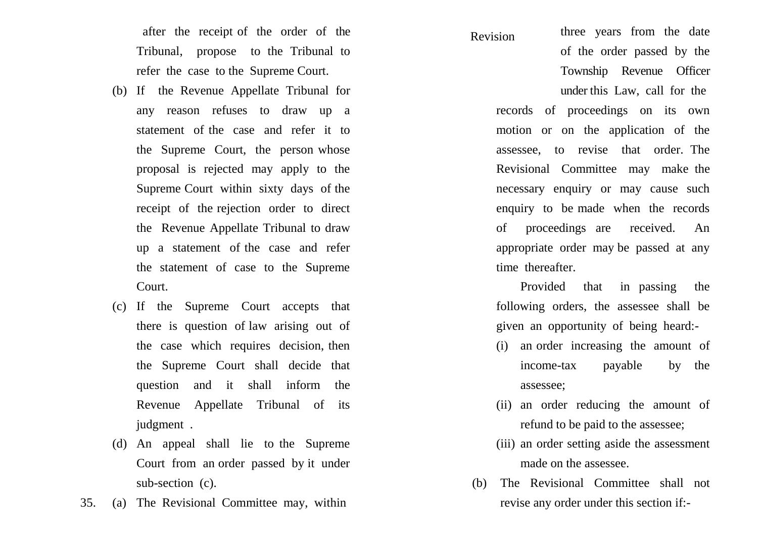after the receipt of the order of the Tribunal, propose to the Tribunal to refer the case to the Supreme Court.

- (b) If the Revenue Appellate Tribunal for any reason refuses to draw up a statement of the case and refer it to the Supreme Court, the person whose proposal is rejected may apply to the Supreme Court within sixty days of the receipt of the rejection order to direct the Revenue Appellate Tribunal to draw up a statement of the case and refer the statement of case to the Supreme Court.
- (c) If the Supreme Court accepts that there is question of law arising out of the case which requires decision, then the Supreme Court shall decide that question and it shall inform the Revenue Appellate Tribunal of its judgment .
- (d) An appeal shall lie to the Supreme Court from an order passed by it under sub-section (c).
- 35. (a) The Revisional Committee may, within

#### Revision

three years from the date of the order passed by the Township Revenue Officer under this Law, call for the

records of proceedings on its own motion or on the application of the assessee, to revise that order. The Revisional Committee may make the necessary enquiry or may cause such enquiry to be made when the records of proceedings are received. An appropriate order may be passed at any time thereafter.

Provided that in passing the following orders, the assessee shall be given an opportunity of being heard:-

- (i) an order increasing the amount of income-tax payable by the assessee;
- (ii) an order reducing the amount of refund to be paid to the assessee;
- (iii) an order setting aside the assessment made on the assessee.
- (b) The Revisional Committee shall not revise any order under this section if:-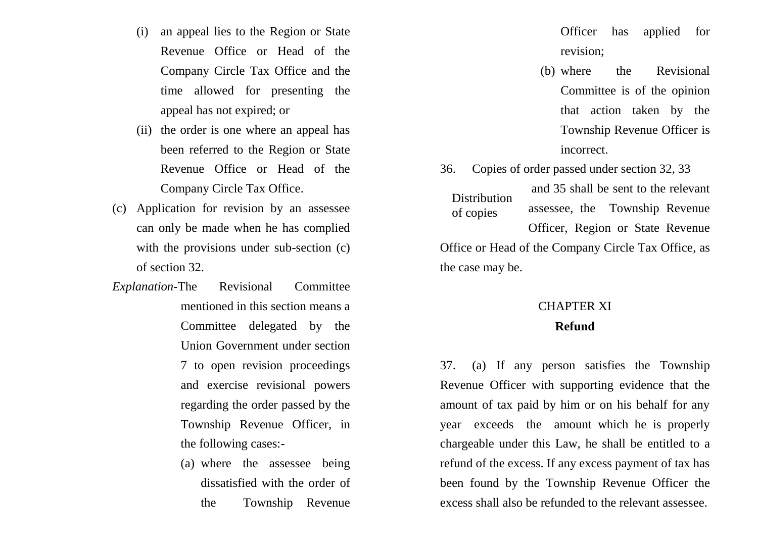- (i) an appeal lies to the Region or State Revenue Office or Head of the Company Circle Tax Office and the time allowed for presenting the appeal has not expired; or
- (ii) the order is one where an appeal has been referred to the Region or State Revenue Office or Head of the Company Circle Tax Office.
- (c) Application for revision by an assessee can only be made when he has complied with the provisions under sub-section (c) of section 32.
- *Explanation*-The Revisional Committee mentioned in this section means a Committee delegated by the Union Government under section 7 to open revision proceedings and exercise revisional powers regarding the order passed by the Township Revenue Officer, in the following cases:-
	- (a) where the assessee being dissatisfied with the order of the Township Revenue
- Officer has applied for revision;
- (b) where the Revisional Committee is of the opinion that action taken by the Township Revenue Officer is incorrect.
- 36. Copies of order passed under section 32, 33 and 35 shall be sent to the relevant assessee, the Township Revenue Officer, Region or State Revenue Office or Head of the Company Circle Tax Office, as the case may be. **Distribution** of copies

### CHAPTER XI **Refund**

37. (a) If any person satisfies the Township Revenue Officer with supporting evidence that the amount of tax paid by him or on his behalf for any year exceeds the amount which he is properly chargeable under this Law, he shall be entitled to a refund of the excess. If any excess payment of tax has been found by the Township Revenue Officer the excess shall also be refunded to the relevant assessee.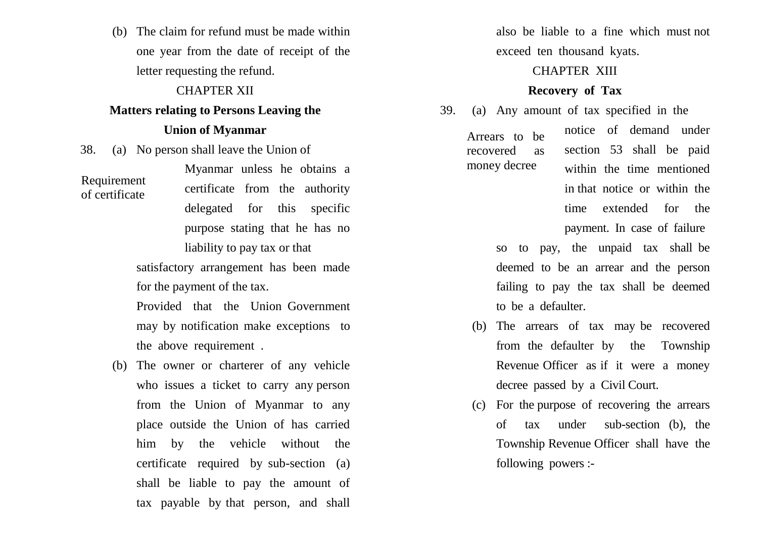(b) The claim for refund must be made within one year from the date of receipt of the letter requesting the refund.

### CHAPTER XII

### **Matters relating to Persons Leaving the**

### **Union of Myanmar**

38. (a) No person shall leave the Union of

Requirement of certificate

Myanmar unless he obtains a certificate from the authority delegated for this specific purpose stating that he has no liability to pay tax or that

satisfactory arrangement has been made for the payment of the tax.

Provided that the Union Government may by notification make exceptions to the above requirement .

(b) The owner or charterer of any vehicle who issues a ticket to carry any person from the Union of Myanmar to any place outside the Union of has carried him by the vehicle without the certificate required by sub-section (a) shall be liable to pay the amount of tax payable by that person, and shall

also be liable to a fine which must not exceed ten thousand kyats.

### CHAPTER XIII

### **Recovery of Tax**

39. (a) Any amount of tax specified in the notice of demand under section 53 shall be paid within the time mentioned Arrears to be recovered as money decree

> in that notice or within the time extended for the payment. In case of failure

so to pay, the unpaid tax shall be deemed to be an arrear and the person failing to pay the tax shall be deemed to be a defaulter.

- (b) The arrears of tax may be recovered from the defaulter by the Township Revenue Officer as if it were a money decree passed by a Civil Court.
- (c) For the purpose of recovering the arrears of tax under sub-section (b), the Township Revenue Officer shall have the following powers :-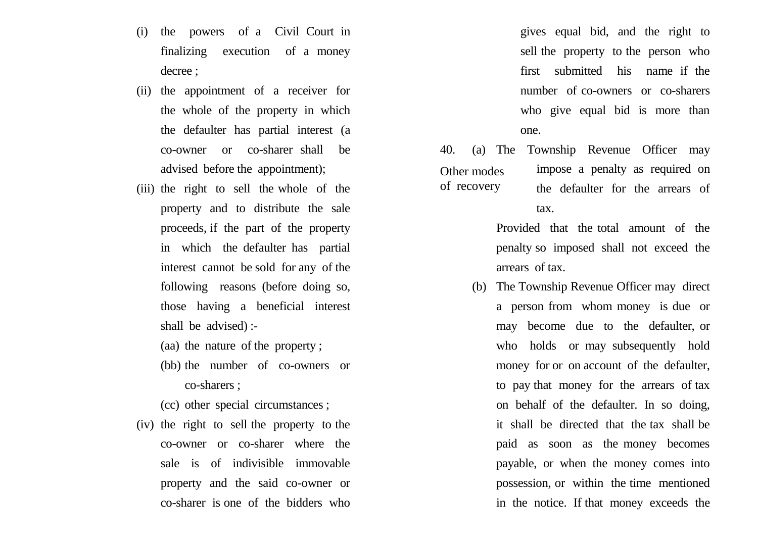- (i) the powers of a Civil Court in finalizing execution of a money decree ;
- (ii) the appointment of a receiver for the whole of the property in which the defaulter has partial interest (a co-owner or co-sharer shall be advised before the appointment);
- (iii) the right to sell the whole of the property and to distribute the sale proceeds, if the part of the property in which the defaulter has partial interest cannot be sold for any of the following reasons (before doing so, those having a beneficial interest shall be advised) :-
	- (aa) the nature of the property ;
	- (bb) the number of co-owners or co-sharers ;
	- (cc) other special circumstances ;
- (iv) the right to sell the property to the co-owner or co-sharer where the sale is of indivisible immovable property and the said co-owner or co-sharer is one of the bidders who

gives equal bid, and the right to sell the property to the person who first submitted his name if the number of co-owners or co-sharers who give equal bid is more than one.

40. (a) The Township Revenue Officer may impose a penalty as required on the defaulter for the arrears of tax. Other modes of recovery

> Provided that the total amount of the penalty so imposed shall not exceed the arrears of tax.

(b) The Township Revenue Officer may direct a person from whom money is due or may become due to the defaulter, or who holds or may subsequently hold money for or on account of the defaulter, to pay that money for the arrears of tax on behalf of the defaulter. In so doing, it shall be directed that the tax shall be paid as soon as the money becomes payable, or when the money comes into possession, or within the time mentioned in the notice. If that money exceeds the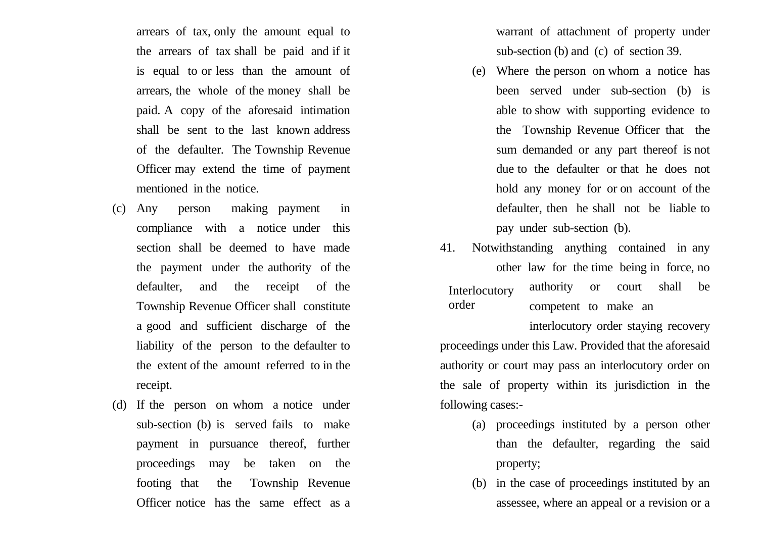arrears of tax, only the amount equal to the arrears of tax shall be paid and if it is equal to or less than the amount of arrears, the whole of the money shall be paid. A copy of the aforesaid intimation shall be sent to the last known address of the defaulter. The Township Revenue Officer may extend the time of payment mentioned in the notice.

- (c) Any person making payment in compliance with a notice under this section shall be deemed to have made the payment under the authority of the defaulter, and the receipt of the Township Revenue Officer shall constitute a good and sufficient discharge of the liability of the person to the defaulter to the extent of the amount referred to in the receipt.
- (d) If the person on whom a notice under sub-section (b) is served fails to make payment in pursuance thereof, further proceedings may be taken on the footing that the Township Revenue Officer notice has the same effect as a

warrant of attachment of property under sub-section (b) and (c) of section 39.

- (e) Where the person on whom a notice has been served under sub-section (b) is able to show with supporting evidence to the Township Revenue Officer that the sum demanded or any part thereof is not due to the defaulter or that he does not hold any money for or on account of the defaulter, then he shall not be liable to pay under sub-section (b).
- 41. Notwithstanding anything contained in any other law for the time being in force, no authority or court shall be competent to make an Interlocutory order

interlocutory order staying recovery proceedings under this Law. Provided that the aforesaid authority or court may pass an interlocutory order on the sale of property within its jurisdiction in the following cases:-

- (a) proceedings instituted by a person other than the defaulter, regarding the said property;
- (b) in the case of proceedings instituted by an assessee, where an appeal or a revision or a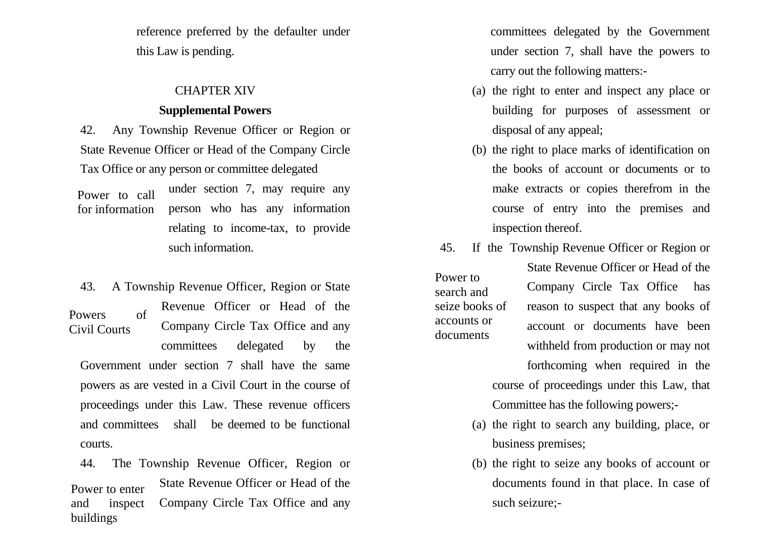reference preferred by the defaulter under this Law is pending.

### CHAPTER XIV

### **Supplemental Powers**

42. Any Township Revenue Officer or Region or State Revenue Officer or Head of the Company Circle Tax Office or any person or committee delegated

under section 7, may require any person who has any information relating to income-tax, to provide such information. Power to call for information

43. A Township Revenue Officer, Region or State Revenue Officer or Head of the Company Circle Tax Office and any committees delegated by the Government under section 7 shall have the same powers as are vested in a Civil Court in the course of proceedings under this Law. These revenue officers and committees shall be deemed to be functional courts. Powers of Civil Courts

44. The Township Revenue Officer, Region or State Revenue Officer or Head of the Company Circle Tax Office and any Power to enter and inspect buildings

committees delegated by the Government under section 7, shall have the powers to carry out the following matters:-

- (a) the right to enter and inspect any place or building for purposes of assessment or disposal of any appeal;
- (b) the right to place marks of identification on the books of account or documents or to make extracts or copies therefrom in the course of entry into the premises and inspection thereof.
- 45. If the Township Revenue Officer or Region or State Revenue Officer or Head of the Company Circle Tax Office has reason to suspect that any books of account or documents have been withheld from production or may not forthcoming when required in the course of proceedings under this Law, that Power to search and seize books of accounts or documents

Committee has the following powers;-

- (a) the right to search any building, place, or business premises;
- (b) the right to seize any books of account or documents found in that place. In case of such seizure;-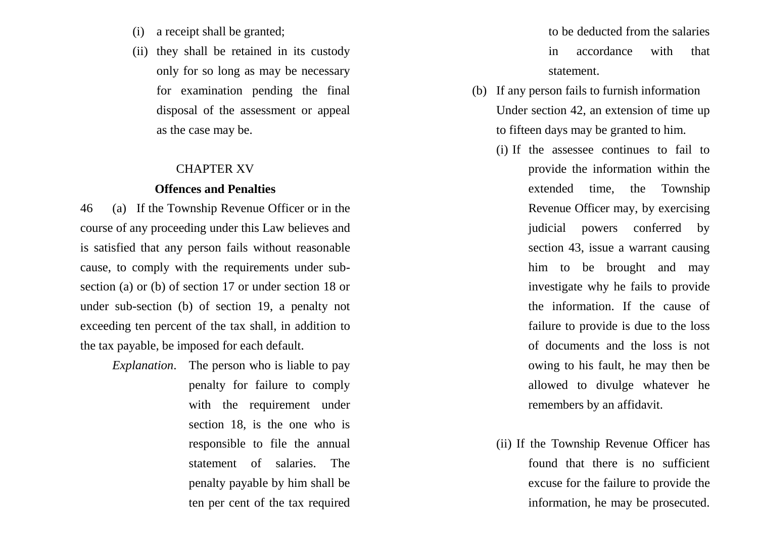- (i) a receipt shall be granted;
- (ii) they shall be retained in its custody only for so long as may be necessary for examination pending the final disposal of the assessment or appeal as the case may be.

### CHAPTER XV

### **Offences and Penalties**

46 (a) If the Township Revenue Officer or in the course of any proceeding under this Law believes and is satisfied that any person fails without reasonable cause, to comply with the requirements under subsection (a) or (b) of section 17 or under section 18 or under sub-section (b) of section 19, a penalty not exceeding ten percent of the tax shall, in addition to the tax payable, be imposed for each default.

> *Explanation*. The person who is liable to pay penalty for failure to comply with the requirement under section 18, is the one who is responsible to file the annual statement of salaries. The penalty payable by him shall be ten per cent of the tax required

to be deducted from the salaries in accordance with that statement.

- (b) If any person fails to furnish information Under section 42, an extension of time up to fifteen days may be granted to him.
	- (i) If the assessee continues to fail to provide the information within the extended time, the Township Revenue Officer may, by exercising judicial powers conferred by section 43, issue a warrant causing him to be brought and may investigate why he fails to provide the information. If the cause of failure to provide is due to the loss of documents and the loss is not owing to his fault, he may then be allowed to divulge whatever he remembers by an affidavit.
	- (ii) If the Township Revenue Officer has found that there is no sufficient excuse for the failure to provide the information, he may be prosecuted.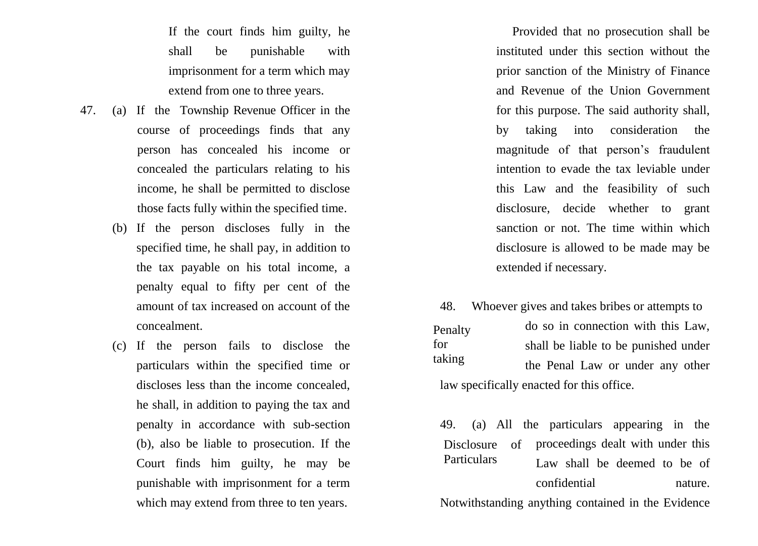If the court finds him guilty, he shall be punishable with imprisonment for a term which may extend from one to three years.

- 47. (a) If the Township Revenue Officer in the course of proceedings finds that any person has concealed his income or concealed the particulars relating to his income, he shall be permitted to disclose those facts fully within the specified time.
	- (b) If the person discloses fully in the specified time, he shall pay, in addition to the tax payable on his total income, a penalty equal to fifty per cent of the amount of tax increased on account of the concealment.
	- (c) If the person fails to disclose the particulars within the specified time or discloses less than the income concealed, he shall, in addition to paying the tax and penalty in accordance with sub-section (b), also be liable to prosecution. If the Court finds him guilty, he may be punishable with imprisonment for a term which may extend from three to ten years.

Provided that no prosecution shall be instituted under this section without the prior sanction of the Ministry of Finance and Revenue of the Union Government for this purpose. The said authority shall, by taking into consideration the magnitude of that person's fraudulent intention to evade the tax leviable under this Law and the feasibility of such disclosure, decide whether to grant sanction or not. The time within which disclosure is allowed to be made may be extended if necessary.

48. Whoever gives and takes bribes or attempts to

do so in connection with this Law, shall be liable to be punished under the Penal Law or under any other law specifically enacted for this office. Penalty for taking

49. (a) All the particulars appearing in the Disclosure of proceedings dealt with under this Law shall be deemed to be of confidential nature. Particulars

Notwithstanding anything contained in the Evidence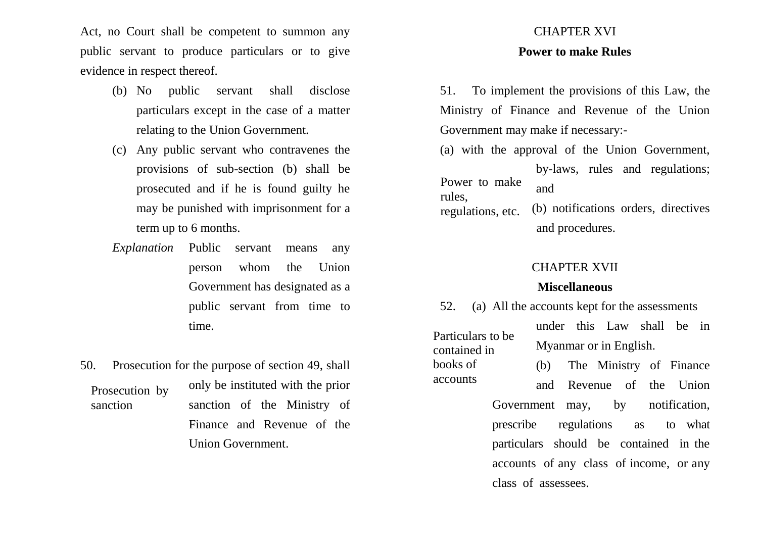Act, no Court shall be competent to summon any public servant to produce particulars or to give evidence in respect thereof.

- (b) No public servant shall disclose particulars except in the case of a matter relating to the Union Government.
- (c) Any public servant who contravenes the provisions of sub-section (b) shall be prosecuted and if he is found guilty he may be punished with imprisonment for a term up to 6 months.
- *Explanation* Public servant means any person whom the Union Government has designated as a public servant from time to time.
- 50. Prosecution for the purpose of section 49, shall only be instituted with the prior sanction of the Ministry of Finance and Revenue of the Union Government. Prosecution by sanction

# CHAPTER XVI

### **Power to make Rules**

51. To implement the provisions of this Law, the Ministry of Finance and Revenue of the Union Government may make if necessary:-

(a) with the approval of the Union Government, by-laws, rules and regulations;

Power to make rules,

and

(b) notifications orders, directives and procedures. regulations, etc.

### CHAPTER XVII

### **Miscellaneous**

52. (a) All the accounts kept for the assessments

Particulars to be contained in books of accounts

under this Law shall be in Myanmar or in English.

(b) The Ministry of Finance and Revenue of the Union

Government may, by notification, prescribe regulations as to what particulars should be contained in the accounts of any class of income, or any class of assessees.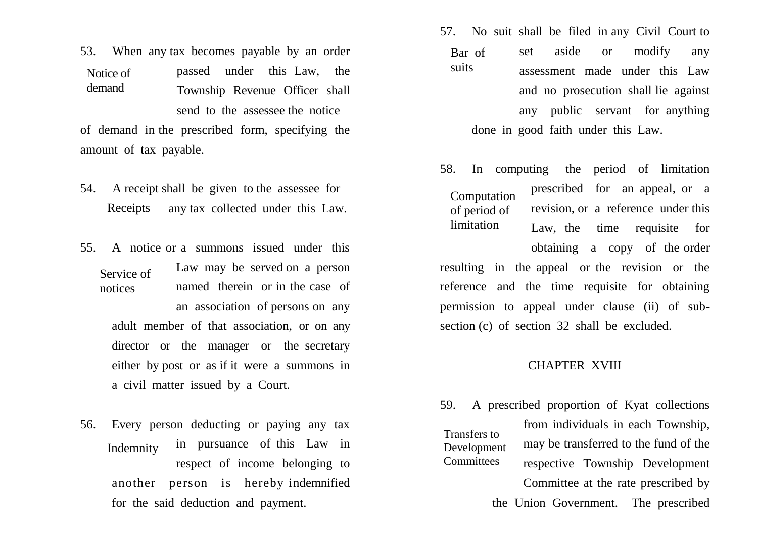53. When any tax becomes payable by an order passed under this Law, the Township Revenue Officer shall send to the assessee the notice of demand in the prescribed form, specifying the Notice of demand

amount of tax payable.

- 54. A receipt shall be given to the assessee for any tax collected under this Law. Receipts
- 55. A notice or a summons issued under this Law may be served on a person named therein or in the case of an association of persons on any Service of notices

adult member of that association, or on any director or the manager or the secretary either by post or as if it were a summons in a civil matter issued by a Court.

56. Every person deducting or paying any tax in pursuance of this Law in respect of income belonging to another person is hereby indemnified for the said deduction and payment. Indemnity

- 57. No suit shall be filed in any Civil Court to set aside or modify any assessment made under this Law and no prosecution shall lie against any public servant for anything done in good faith under this Law. Bar of suits
- 58. In computing the period of limitation prescribed for an appeal, or a revision, or a reference under this Law, the time requisite for obtaining a copy of the order resulting in the appeal or the revision or the reference and the time requisite for obtaining permission to appeal under clause (ii) of subsection (c) of section 32 shall be excluded. Computation of period of limitation

### CHAPTER XVIII

59. A prescribed proportion of Kyat collections from individuals in each Township, may be transferred to the fund of the respective Township Development Committee at the rate prescribed by the Union Government. The prescribed Transfers to Development **Committees**